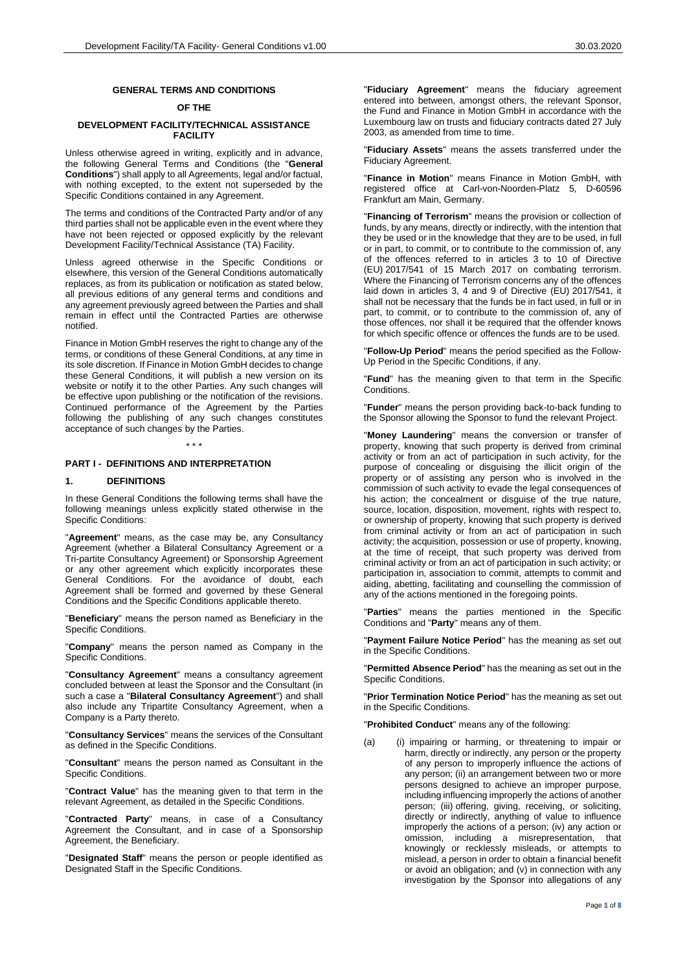#### **GENERAL TERMS AND CONDITIONS**

## **OF THE**

### **DEVELOPMENT FACILITY/TECHNICAL ASSISTANCE FACILITY**

Unless otherwise agreed in writing, explicitly and in advance, the following General Terms and Conditions (the "**General Conditions**") shall apply to all Agreements, legal and/or factual, with nothing excepted, to the extent not superseded by the Specific Conditions contained in any Agreement.

The terms and conditions of the Contracted Party and/or of any third parties shall not be applicable even in the event where they have not been rejected or opposed explicitly by the relevant Development Facility/Technical Assistance (TA) Facility.

Unless agreed otherwise in the Specific Conditions or elsewhere, this version of the General Conditions automatically replaces, as from its publication or notification as stated below, all previous editions of any general terms and conditions and any agreement previously agreed between the Parties and shall remain in effect until the Contracted Parties are otherwise notified.

Finance in Motion GmbH reserves the right to change any of the terms, or conditions of these General Conditions, at any time in its sole discretion. If Finance in Motion GmbH decides to change these General Conditions, it will publish a new version on its website or notify it to the other Parties. Any such changes will be effective upon publishing or the notification of the revisions. Continued performance of the Agreement by the Parties following the publishing of any such changes constitutes acceptance of such changes by the Parties.

# **PART I - DEFINITIONS AND INTERPRETATION**

#### **1. DEFINITIONS**

In these General Conditions the following terms shall have the following meanings unless explicitly stated otherwise in the Specific Conditions:

\* \* \*

"**Agreement**" means, as the case may be, any Consultancy Agreement (whether a Bilateral Consultancy Agreement or a Tri-partite Consultancy Agreement) or Sponsorship Agreement or any other agreement which explicitly incorporates these General Conditions. For the avoidance of doubt, each Agreement shall be formed and governed by these General Conditions and the Specific Conditions applicable thereto.

"**Beneficiary**" means the person named as Beneficiary in the Specific Conditions.

"**Company**" means the person named as Company in the Specific Conditions.

"**Consultancy Agreement**" means a consultancy agreement concluded between at least the Sponsor and the Consultant (in such a case a "**Bilateral Consultancy Agreement**") and shall also include any Tripartite Consultancy Agreement, when a Company is a Party thereto.

"**Consultancy Services**" means the services of the Consultant as defined in the Specific Conditions.

"**Consultant**" means the person named as Consultant in the Specific Conditions.

"**Contract Value**" has the meaning given to that term in the relevant Agreement, as detailed in the Specific Conditions.

"**Contracted Party**" means, in case of a Consultancy Agreement the Consultant, and in case of a Sponsorship Agreement, the Beneficiary.

"**Designated Staff**" means the person or people identified as Designated Staff in the Specific Conditions.

"**Fiduciary Agreement**" means the fiduciary agreement entered into between, amongst others, the relevant Sponsor, the Fund and Finance in Motion GmbH in accordance with the Luxembourg law on trusts and fiduciary contracts dated 27 July 2003, as amended from time to time.

"**Fiduciary Assets**" means the assets transferred under the Fiduciary Agreement.

"**Finance in Motion**" means Finance in Motion GmbH, with registered office at Carl-von-Noorden-Platz 5, D-60596 Frankfurt am Main, Germany.

"**Financing of Terrorism**" means the provision or collection of funds, by any means, directly or indirectly, with the intention that they be used or in the knowledge that they are to be used, in full or in part, to commit, or to contribute to the commission of, any of the offences referred to in articles 3 to 10 of Directive (EU) 2017/541 of 15 March 2017 on combating terrorism. Where the Financing of Terrorism concerns any of the offences laid down in articles 3, 4 and 9 of Directive (EU) 2017/541, it shall not be necessary that the funds be in fact used, in full or in part, to commit, or to contribute to the commission of, any of those offences, nor shall it be required that the offender knows for which specific offence or offences the funds are to be used.

"**Follow-Up Period**" means the period specified as the Follow-Up Period in the Specific Conditions, if any.

"**Fund**" has the meaning given to that term in the Specific Conditions.

"**Funder**" means the person providing back-to-back funding to the Sponsor allowing the Sponsor to fund the relevant Project.

"**Money Laundering**" means the conversion or transfer of property, knowing that such property is derived from criminal activity or from an act of participation in such activity, for the purpose of concealing or disguising the illicit origin of the property or of assisting any person who is involved in the commission of such activity to evade the legal consequences of his action; the concealment or disquise of the true nature, source, location, disposition, movement, rights with respect to, or ownership of property, knowing that such property is derived from criminal activity or from an act of participation in such activity; the acquisition, possession or use of property, knowing, at the time of receipt, that such property was derived from criminal activity or from an act of participation in such activity; or participation in, association to commit, attempts to commit and aiding, abetting, facilitating and counselling the commission of any of the actions mentioned in the foregoing points.

"**Parties**" means the parties mentioned in the Specific Conditions and "**Party**" means any of them.

"**Payment Failure Notice Period**" has the meaning as set out in the Specific Conditions.

"**Permitted Absence Period**" has the meaning as set out in the Specific Conditions.

"**Prior Termination Notice Period**" has the meaning as set out in the Specific Conditions.

"**Prohibited Conduct**" means any of the following:

(a) (i) impairing or harming, or threatening to impair or harm, directly or indirectly, any person or the property of any person to improperly influence the actions of any person; (ii) an arrangement between two or more persons designed to achieve an improper purpose, including influencing improperly the actions of another person; (iii) offering, giving, receiving, or soliciting, directly or indirectly, anything of value to influence improperly the actions of a person; (iv) any action or omission, including a misrepresentation, that knowingly or recklessly misleads, or attempts to mislead, a person in order to obtain a financial benefit or avoid an obligation; and (v) in connection with any investigation by the Sponsor into allegations of any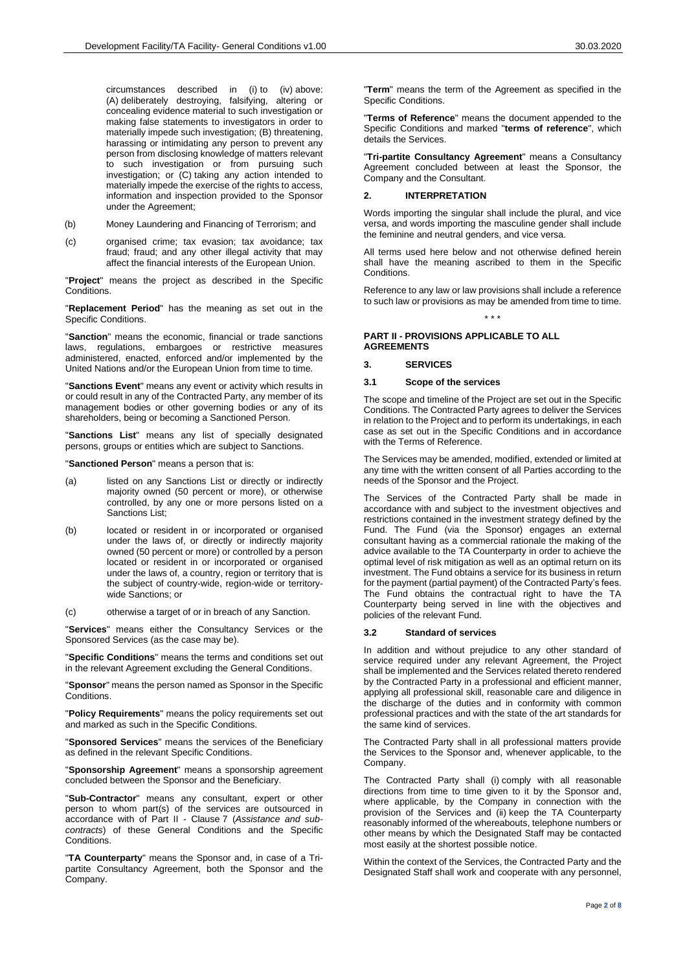circumstances described in (i) to (iv) above: (A) deliberately destroying, falsifying, altering or concealing evidence material to such investigation or making false statements to investigators in order to materially impede such investigation; (B) threatening, harassing or intimidating any person to prevent any person from disclosing knowledge of matters relevant to such investigation or from pursuing such investigation; or (C) taking any action intended to materially impede the exercise of the rights to access, information and inspection provided to the Sponsor under the Agreement;

- (b) Money Laundering and Financing of Terrorism; and
- (c) organised crime; tax evasion; tax avoidance; tax fraud; fraud; and any other illegal activity that may affect the financial interests of the European Union.

"**Project**" means the project as described in the Specific Conditions.

"**Replacement Period**" has the meaning as set out in the Specific Conditions.

"**Sanction**" means the economic, financial or trade sanctions laws, regulations, embargoes or restrictive measures administered, enacted, enforced and/or implemented by the United Nations and/or the European Union from time to time.

"**Sanctions Event**" means any event or activity which results in or could result in any of the Contracted Party, any member of its management bodies or other governing bodies or any of its shareholders, being or becoming a Sanctioned Person.

"**Sanctions List**" means any list of specially designated persons, groups or entities which are subject to Sanctions.

"**Sanctioned Person**" means a person that is:

- (a) listed on any Sanctions List or directly or indirectly majority owned (50 percent or more), or otherwise controlled, by any one or more persons listed on a Sanctions List;
- (b) located or resident in or incorporated or organised under the laws of, or directly or indirectly majority owned (50 percent or more) or controlled by a person located or resident in or incorporated or organised under the laws of, a country, region or territory that is the subject of country-wide, region-wide or territorywide Sanctions; or

(c) otherwise a target of or in breach of any Sanction.

"**Services**" means either the Consultancy Services or the Sponsored Services (as the case may be).

"**Specific Conditions**" means the terms and conditions set out in the relevant Agreement excluding the General Conditions.

"**Sponsor**" means the person named as Sponsor in the Specific Conditions.

"**Policy Requirements**" means the policy requirements set out and marked as such in the Specific Conditions.

"**Sponsored Services**" means the services of the Beneficiary as defined in the relevant Specific Conditions.

"**Sponsorship Agreement**" means a sponsorship agreement concluded between the Sponsor and the Beneficiary.

"**Sub-Contractor**" means any consultant, expert or other person to whom part(s) of the services are outsourced in accordance with of [Part II -](#page-1-0) Clause [7](#page-3-0) (*Assistance and subcontracts*) of these General Conditions and the Specific Conditions.

"**TA Counterparty**" means the Sponsor and, in case of a Tripartite Consultancy Agreement, both the Sponsor and the Company.

"**Term**" means the term of the Agreement as specified in the Specific Conditions.

"**Terms of Reference**" means the document appended to the Specific Conditions and marked "**terms of reference**", which details the Services.

"**Tri-partite Consultancy Agreement**" means a Consultancy Agreement concluded between at least the Sponsor, the Company and the Consultant.

# **2. INTERPRETATION**

Words importing the singular shall include the plural, and vice versa, and words importing the masculine gender shall include the feminine and neutral genders, and vice versa.

All terms used here below and not otherwise defined herein shall have the meaning ascribed to them in the Specific Conditions.

Reference to any law or law provisions shall include a reference to such law or provisions as may be amended from time to time.

\* \* \*

## <span id="page-1-0"></span>**PART II - PROVISIONS APPLICABLE TO ALL AGREEMENTS**

## **3. SERVICES**

#### **3.1 Scope of the services**

The scope and timeline of the Project are set out in the Specific Conditions. The Contracted Party agrees to deliver the Services in relation to the Project and to perform its undertakings, in each case as set out in the Specific Conditions and in accordance with the Terms of Reference.

The Services may be amended, modified, extended or limited at any time with the written consent of all Parties according to the needs of the Sponsor and the Project.

The Services of the Contracted Party shall be made in accordance with and subject to the investment objectives and restrictions contained in the investment strategy defined by the Fund. The Fund (via the Sponsor) engages an external consultant having as a commercial rationale the making of the advice available to the TA Counterparty in order to achieve the optimal level of risk mitigation as well as an optimal return on its investment. The Fund obtains a service for its business in return for the payment (partial payment) of the Contracted Party's fees. The Fund obtains the contractual right to have the TA Counterparty being served in line with the objectives and policies of the relevant Fund.

#### **3.2 Standard of services**

In addition and without prejudice to any other standard of service required under any relevant Agreement, the Project shall be implemented and the Services related thereto rendered by the Contracted Party in a professional and efficient manner, applying all professional skill, reasonable care and diligence in the discharge of the duties and in conformity with common professional practices and with the state of the art standards for the same kind of services.

The Contracted Party shall in all professional matters provide the Services to the Sponsor and, whenever applicable, to the Company.

The Contracted Party shall (i) comply with all reasonable directions from time to time given to it by the Sponsor and, where applicable, by the Company in connection with the provision of the Services and (ii) keep the TA Counterparty reasonably informed of the whereabouts, telephone numbers or other means by which the Designated Staff may be contacted most easily at the shortest possible notice.

Within the context of the Services, the Contracted Party and the Designated Staff shall work and cooperate with any personnel,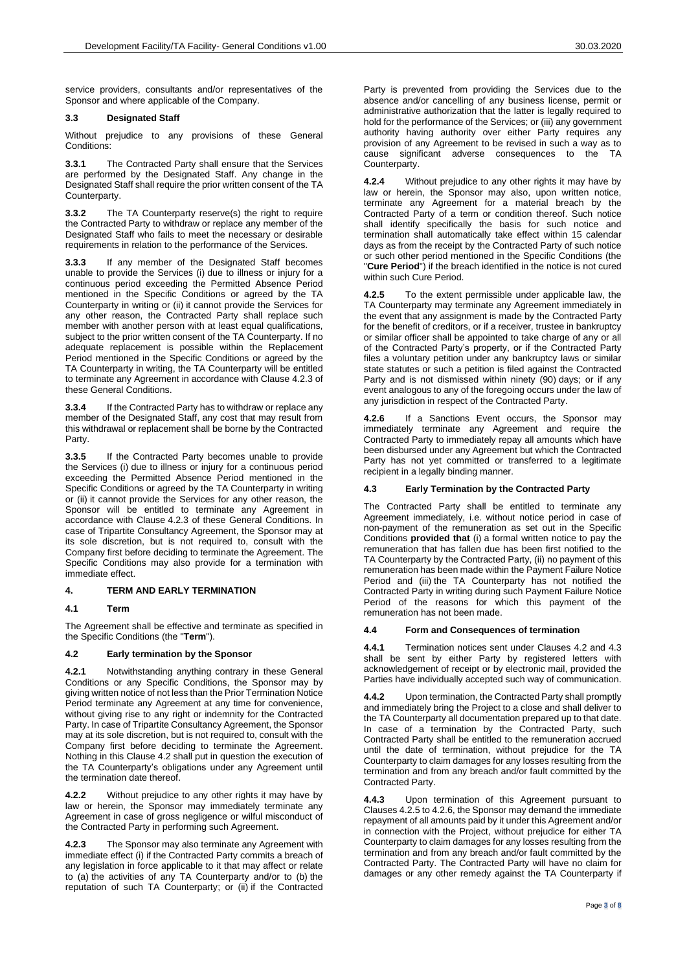service providers, consultants and/or representatives of the Sponsor and where applicable of the Company.

## <span id="page-2-6"></span>**3.3 Designated Staff**

Without prejudice to any provisions of these General Conditions:

**3.3.1** The Contracted Party shall ensure that the Services are performed by the Designated Staff. Any change in the Designated Staff shall require the prior written consent of the TA Counterparty.

**3.3.2** The TA Counterparty reserve(s) the right to require the Contracted Party to withdraw or replace any member of the Designated Staff who fails to meet the necessary or desirable requirements in relation to the performance of the Services.

**3.3.3** If any member of the Designated Staff becomes unable to provide the Services (i) due to illness or injury for a continuous period exceeding the Permitted Absence Period mentioned in the Specific Conditions or agreed by the TA Counterparty in writing or (ii) it cannot provide the Services for any other reason, the Contracted Party shall replace such member with another person with at least equal qualifications, subject to the prior written consent of the TA Counterparty. If no adequate replacement is possible within the Replacement Period mentioned in the Specific Conditions or agreed by the TA Counterparty in writing, the TA Counterparty will be entitled to terminate any Agreement in accordance with Clause [4.2.3](#page-2-0) of these General Conditions.

**3.3.4** If the Contracted Party has to withdraw or replace any member of the Designated Staff, any cost that may result from this withdrawal or replacement shall be borne by the Contracted Party.

**3.3.5** If the Contracted Party becomes unable to provide the Services (i) due to illness or injury for a continuous period exceeding the Permitted Absence Period mentioned in the Specific Conditions or agreed by the TA Counterparty in writing or (ii) it cannot provide the Services for any other reason, the Sponsor will be entitled to terminate any Agreement in accordance with Clause [4.2.3](#page-2-0) of these General Conditions. In case of Tripartite Consultancy Agreement, the Sponsor may at its sole discretion, but is not required to, consult with the Company first before deciding to terminate the Agreement. The Specific Conditions may also provide for a termination with immediate effect.

## **4. TERM AND EARLY TERMINATION**

### **4.1 Term**

The Agreement shall be effective and terminate as specified in the Specific Conditions (the "**Term**").

## <span id="page-2-1"></span>**4.2 Early termination by the Sponsor**

**4.2.1** Notwithstanding anything contrary in these General Conditions or any Specific Conditions, the Sponsor may by giving written notice of not less than the Prior Termination Notice Period terminate any Agreement at any time for convenience, without giving rise to any right or indemnity for the Contracted Party. In case of Tripartite Consultancy Agreement, the Sponsor may at its sole discretion, but is not required to, consult with the Company first before deciding to terminate the Agreement. Nothing in this Clause [4.2](#page-2-1) shall put in question the execution of the TA Counterparty's obligations under any Agreement until the termination date thereof.

**4.2.2** Without prejudice to any other rights it may have by law or herein, the Sponsor may immediately terminate any Agreement in case of gross negligence or wilful misconduct of the Contracted Party in performing such Agreement.

<span id="page-2-0"></span>**4.2.3** The Sponsor may also terminate any Agreement with immediate effect (i) if the Contracted Party commits a breach of any legislation in force applicable to it that may affect or relate to (a) the activities of any TA Counterparty and/or to (b) the reputation of such TA Counterparty; or (ii) if the Contracted

Party is prevented from providing the Services due to the absence and/or cancelling of any business license, permit or administrative authorization that the latter is legally required to hold for the performance of the Services; or (iii) any government authority having authority over either Party requires any provision of any Agreement to be revised in such a way as to cause significant adverse consequences to the TA Counterparty.

**4.2.4** Without prejudice to any other rights it may have by law or herein, the Sponsor may also, upon written notice, terminate any Agreement for a material breach by the Contracted Party of a term or condition thereof. Such notice shall identify specifically the basis for such notice and termination shall automatically take effect within 15 calendar days as from the receipt by the Contracted Party of such notice or such other period mentioned in the Specific Conditions (the "Cure Period") if the breach identified in the notice is not cured within such Cure Period.

<span id="page-2-3"></span>**4.2.5** To the extent permissible under applicable law, the TA Counterparty may terminate any Agreement immediately in the event that any assignment is made by the Contracted Party for the benefit of creditors, or if a receiver, trustee in bankruptcy or similar officer shall be appointed to take charge of any or all of the Contracted Party's property, or if the Contracted Party files a voluntary petition under any bankruptcy laws or similar state statutes or such a petition is filed against the Contracted Party and is not dismissed within ninety (90) days; or if any event analogous to any of the foregoing occurs under the law of any jurisdiction in respect of the Contracted Party.

<span id="page-2-4"></span>**4.2.6** If a Sanctions Event occurs, the Sponsor may immediately terminate any Agreement and require the Contracted Party to immediately repay all amounts which have been disbursed under any Agreement but which the Contracted Party has not yet committed or transferred to a legitimate recipient in a legally binding manner.

## <span id="page-2-2"></span>**4.3 Early Termination by the Contracted Party**

The Contracted Party shall be entitled to terminate any Agreement immediately, i.e. without notice period in case of non-payment of the remuneration as set out in the Specific Conditions **provided that** (i) a formal written notice to pay the remuneration that has fallen due has been first notified to the TA Counterparty by the Contracted Party, (ii) no payment of this remuneration has been made within the Payment Failure Notice Period and (iii) the TA Counterparty has not notified the Contracted Party in writing during such Payment Failure Notice Period of the reasons for which this payment of the remuneration has not been made.

#### **4.4 Form and Consequences of termination**

**4.4.1** Termination notices sent under Clauses [4.2](#page-2-1) and [4.3](#page-2-2) shall be sent by either Party by registered letters with acknowledgement of receipt or by electronic mail, provided the Parties have individually accepted such way of communication.

<span id="page-2-5"></span>**4.4.2** Upon termination, the Contracted Party shall promptly and immediately bring the Project to a close and shall deliver to the TA Counterparty all documentation prepared up to that date. In case of a termination by the Contracted Party, such Contracted Party shall be entitled to the remuneration accrued until the date of termination, without prejudice for the TA Counterparty to claim damages for any losses resulting from the termination and from any breach and/or fault committed by the Contracted Party.

**4.4.3** Upon termination of this Agreement pursuant to Clause[s 4.2.5](#page-2-3) t[o 4.2.6,](#page-2-4) the Sponsor may demand the immediate repayment of all amounts paid by it under this Agreement and/or in connection with the Project, without prejudice for either TA Counterparty to claim damages for any losses resulting from the termination and from any breach and/or fault committed by the Contracted Party. The Contracted Party will have no claim for damages or any other remedy against the TA Counterparty if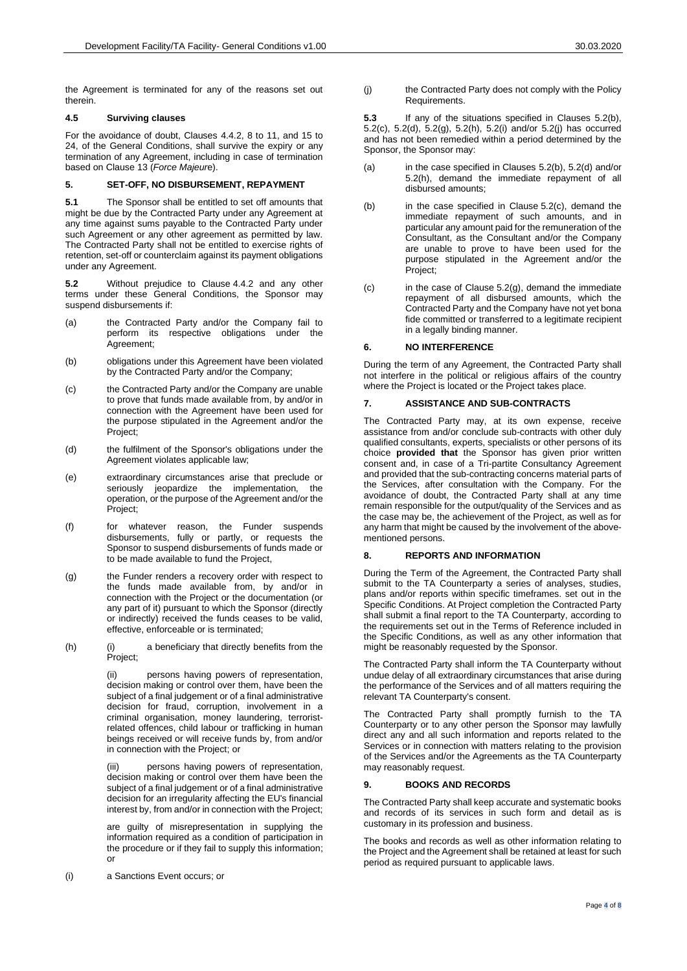the Agreement is terminated for any of the reasons set out therein.

### **4.5 Surviving clauses**

For the avoidance of doubt, Clauses [4.4.2,](#page-2-5) [8](#page-3-1) to [11,](#page-4-0) and [15](#page-4-1) to [24,](#page-6-0) of the General Conditions, shall survive the expiry or any termination of any Agreement, including in case of termination based on Clause [13](#page-4-2) (*Force Majeur*e).

# **5. SET-OFF, NO DISBURSEMENT, REPAYMENT**

**5.1** The Sponsor shall be entitled to set off amounts that might be due by the Contracted Party under any Agreement at any time against sums payable to the Contracted Party under such Agreement or any other agreement as permitted by law. The Contracted Party shall not be entitled to exercise rights of retention, set-off or counterclaim against its payment obligations under any Agreement.

**5.2** Without prejudice to Clause [4.4.2](#page-2-5) and any other terms under these General Conditions, the Sponsor may suspend disbursements if:

- (a) the Contracted Party and/or the Company fail to perform its respective obligations under the .<br>Agreement:
- <span id="page-3-2"></span>(b) obligations under this Agreement have been violated by the Contracted Party and/or the Company;
- <span id="page-3-3"></span>(c) the Contracted Party and/or the Company are unable to prove that funds made available from, by and/or in connection with the Agreement have been used for the purpose stipulated in the Agreement and/or the Project;
- <span id="page-3-4"></span>(d) the fulfilment of the Sponsor's obligations under the Agreement violates applicable law;
- (e) extraordinary circumstances arise that preclude or seriously jeopardize the implementation, the operation, or the purpose of the Agreement and/or the Project:
- (f) for whatever reason, the Funder suspends disbursements, fully or partly, or requests the Sponsor to suspend disbursements of funds made or to be made available to fund the Project,
- <span id="page-3-5"></span>(g) the Funder renders a recovery order with respect to the funds made available from, by and/or in connection with the Project or the documentation (or any part of it) pursuant to which the Sponsor (directly or indirectly) received the funds ceases to be valid, effective, enforceable or is terminated;
- <span id="page-3-6"></span>(h) (i) a beneficiary that directly benefits from the Project;

(ii) persons having powers of representation, decision making or control over them, have been the subject of a final judgement or of a final administrative decision for fraud, corruption, involvement in a criminal organisation, money laundering, terroristrelated offences, child labour or trafficking in human beings received or will receive funds by, from and/or in connection with the Project; or

persons having powers of representation, decision making or control over them have been the subject of a final judgement or of a final administrative decision for an irregularity affecting the EU's financial interest by, from and/or in connection with the Project;

are guilty of misrepresentation in supplying the information required as a condition of participation in the procedure or if they fail to supply this information; or

<span id="page-3-7"></span>(i) a Sanctions Event occurs; or

<span id="page-3-8"></span>(j) the Contracted Party does not comply with the Policy **Requirements** 

**5.3** If any of the situations specified in Clauses [5.2\(b\),](#page-3-2)  [5.2\(c\),](#page-3-3) [5.2\(d\),](#page-3-4) [5.2\(g\),](#page-3-5) [5.2\(h\),](#page-3-6) [5.2\(i\)](#page-3-7) and/or [5.2\(j\)](#page-3-8) has occurred and has not been remedied within a period determined by the Sponsor, the Sponsor may:

- (a) in the case specified in Clauses [5.2\(b\),](#page-3-2) [5.2\(d\)](#page-3-4) and/or [5.2\(h\),](#page-3-6) demand the immediate repayment of all disbursed amounts;
- (b) in the case specified in Clause [5.2\(c\),](#page-3-3) demand the immediate repayment of such amounts, and in particular any amount paid for the remuneration of the Consultant, as the Consultant and/or the Company are unable to prove to have been used for the purpose stipulated in the Agreement and/or the Project;
- $(c)$  in the case of Clause [5.2\(g\),](#page-3-5) demand the immediate repayment of all disbursed amounts, which the Contracted Party and the Company have not yet bona fide committed or transferred to a legitimate recipient in a legally binding manner.

# **6. NO INTERFERENCE**

During the term of any Agreement, the Contracted Party shall not interfere in the political or religious affairs of the country where the Project is located or the Project takes place.

## <span id="page-3-0"></span>**7. ASSISTANCE AND SUB-CONTRACTS**

The Contracted Party may, at its own expense, receive assistance from and/or conclude sub-contracts with other duly qualified consultants, experts, specialists or other persons of its choice **provided that** the Sponsor has given prior written consent and, in case of a Tri-partite Consultancy Agreement and provided that the sub-contracting concerns material parts of the Services, after consultation with the Company. For the avoidance of doubt, the Contracted Party shall at any time remain responsible for the output/quality of the Services and as the case may be, the achievement of the Project, as well as for any harm that might be caused by the involvement of the abovementioned persons.

# <span id="page-3-1"></span>**8. REPORTS AND INFORMATION**

During the Term of the Agreement, the Contracted Party shall submit to the TA Counterparty a series of analyses, studies, plans and/or reports within specific timeframes. set out in the Specific Conditions. At Project completion the Contracted Party shall submit a final report to the TA Counterparty, according to the requirements set out in the Terms of Reference included in the Specific Conditions, as well as any other information that might be reasonably requested by the Sponsor.

The Contracted Party shall inform the TA Counterparty without undue delay of all extraordinary circumstances that arise during the performance of the Services and of all matters requiring the relevant TA Counterparty's consent.

The Contracted Party shall promptly furnish to the TA Counterparty or to any other person the Sponsor may lawfully direct any and all such information and reports related to the Services or in connection with matters relating to the provision of the Services and/or the Agreements as the TA Counterparty may reasonably request.

## **9. BOOKS AND RECORDS**

The Contracted Party shall keep accurate and systematic books and records of its services in such form and detail as is customary in its profession and business.

The books and records as well as other information relating to the Project and the Agreement shall be retained at least for such period as required pursuant to applicable laws.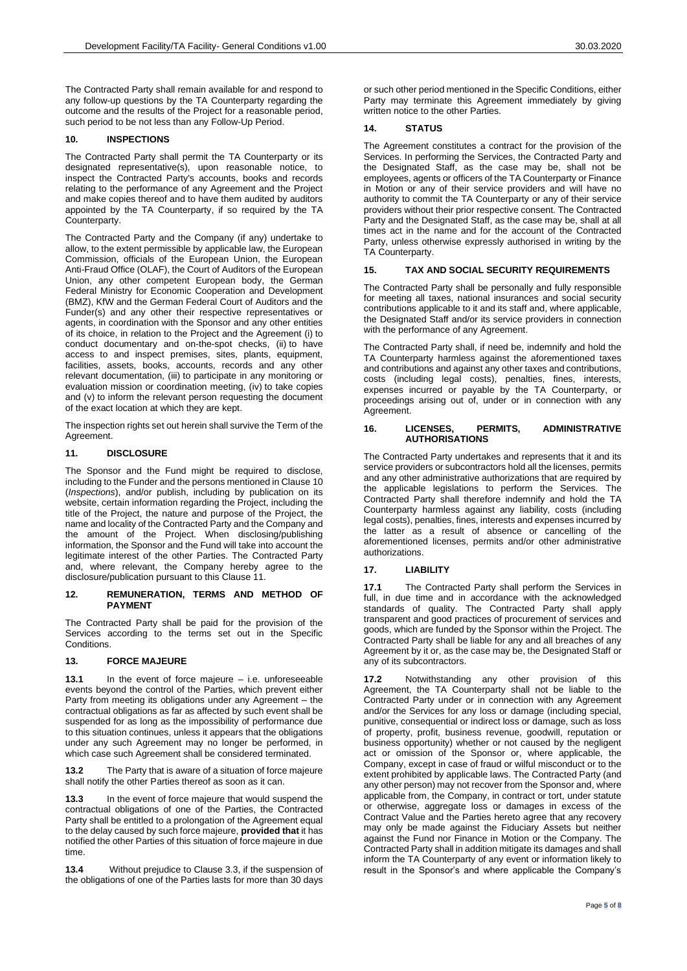The Contracted Party shall remain available for and respond to any follow-up questions by the TA Counterparty regarding the outcome and the results of the Project for a reasonable period, such period to be not less than any Follow-Up Period.

## <span id="page-4-3"></span>**10. INSPECTIONS**

The Contracted Party shall permit the TA Counterparty or its designated representative(s), upon reasonable notice, to inspect the Contracted Party's accounts, books and records relating to the performance of any Agreement and the Project and make copies thereof and to have them audited by auditors appointed by the TA Counterparty, if so required by the TA Counterparty.

The Contracted Party and the Company (if any) undertake to allow, to the extent permissible by applicable law, the European Commission, officials of the European Union, the European Anti-Fraud Office (OLAF), the Court of Auditors of the European Union, any other competent European body, the German Federal Ministry for Economic Cooperation and Development (BMZ), KfW and the German Federal Court of Auditors and the Funder(s) and any other their respective representatives or agents, in coordination with the Sponsor and any other entities of its choice, in relation to the Project and the Agreement (i) to conduct documentary and on-the-spot checks, (ii) to have access to and inspect premises, sites, plants, equipment, facilities, assets, books, accounts, records and any other relevant documentation, (iii) to participate in any monitoring or evaluation mission or coordination meeting, (iv) to take copies and (v) to inform the relevant person requesting the document of the exact location at which they are kept.

The inspection rights set out herein shall survive the Term of the Agreement.

## <span id="page-4-0"></span>**11. DISCLOSURE**

The Sponsor and the Fund might be required to disclose, including to the Funder and the persons mentioned in Clause [10](#page-4-3) (*Inspections*), and/or publish, including by publication on its website, certain information regarding the Project, including the title of the Project, the nature and purpose of the Project, the name and locality of the Contracted Party and the Company and the amount of the Project. When disclosing/publishing information, the Sponsor and the Fund will take into account the legitimate interest of the other Parties. The Contracted Party and, where relevant, the Company hereby agree to the disclosure/publication pursuant to this Clause [11.](#page-4-0)

#### **12. REMUNERATION, TERMS AND METHOD OF PAYMENT**

The Contracted Party shall be paid for the provision of the Services according to the terms set out in the Specific Conditions.

### <span id="page-4-2"></span>**13. FORCE MAJEURE**

**13.1** In the event of force majeure – i.e. unforeseeable events beyond the control of the Parties, which prevent either Party from meeting its obligations under any Agreement – the contractual obligations as far as affected by such event shall be suspended for as long as the impossibility of performance due to this situation continues, unless it appears that the obligations under any such Agreement may no longer be performed, in which case such Agreement shall be considered terminated.

**13.2** The Party that is aware of a situation of force majeure shall notify the other Parties thereof as soon as it can.

**13.3** In the event of force majeure that would suspend the contractual obligations of one of the Parties, the Contracted Party shall be entitled to a prolongation of the Agreement equal to the delay caused by such force majeure, **provided that** it has notified the other Parties of this situation of force majeure in due time.

**13.4** Without prejudice to Clause [3.3,](#page-2-6) if the suspension of the obligations of one of the Parties lasts for more than 30 days

## **14. STATUS**

The Agreement constitutes a contract for the provision of the Services. In performing the Services, the Contracted Party and the Designated Staff, as the case may be, shall not be employees, agents or officers of the TA Counterparty or Finance in Motion or any of their service providers and will have no authority to commit the TA Counterparty or any of their service providers without their prior respective consent. The Contracted Party and the Designated Staff, as the case may be, shall at all times act in the name and for the account of the Contracted Party, unless otherwise expressly authorised in writing by the TA Counterparty.

## <span id="page-4-1"></span>**15. TAX AND SOCIAL SECURITY REQUIREMENTS**

The Contracted Party shall be personally and fully responsible for meeting all taxes, national insurances and social security contributions applicable to it and its staff and, where applicable, the Designated Staff and/or its service providers in connection with the performance of any Agreement.

The Contracted Party shall, if need be, indemnify and hold the TA Counterparty harmless against the aforementioned taxes and contributions and against any other taxes and contributions, costs (including legal costs), penalties, fines, interests, expenses incurred or payable by the TA Counterparty, or proceedings arising out of, under or in connection with any Agreement.

### **16. LICENSES, PERMITS, ADMINISTRATIVE AUTHORISATIONS**

The Contracted Party undertakes and represents that it and its service providers or subcontractors hold all the licenses, permits and any other administrative authorizations that are required by the applicable legislations to perform the Services. The Contracted Party shall therefore indemnify and hold the TA Counterparty harmless against any liability, costs (including legal costs), penalties, fines, interests and expenses incurred by the latter as a result of absence or cancelling of the aforementioned licenses, permits and/or other administrative authorizations.

### **17. LIABILITY**

**17.1** The Contracted Party shall perform the Services in full, in due time and in accordance with the acknowledged standards of quality. The Contracted Party shall apply transparent and good practices of procurement of services and goods, which are funded by the Sponsor within the Project. The Contracted Party shall be liable for any and all breaches of any Agreement by it or, as the case may be, the Designated Staff or any of its subcontractors.

**17.2** Notwithstanding any other provision of this Agreement, the TA Counterparty shall not be liable to the Contracted Party under or in connection with any Agreement and/or the Services for any loss or damage (including special, punitive, consequential or indirect loss or damage, such as loss of property, profit, business revenue, goodwill, reputation or business opportunity) whether or not caused by the negligent act or omission of the Sponsor or, where applicable, the Company, except in case of fraud or wilful misconduct or to the extent prohibited by applicable laws. The Contracted Party (and any other person) may not recover from the Sponsor and, where applicable from, the Company, in contract or tort, under statute or otherwise, aggregate loss or damages in excess of the Contract Value and the Parties hereto agree that any recovery may only be made against the Fiduciary Assets but neither against the Fund nor Finance in Motion or the Company. The Contracted Party shall in addition mitigate its damages and shall inform the TA Counterparty of any event or information likely to result in the Sponsor's and where applicable the Company's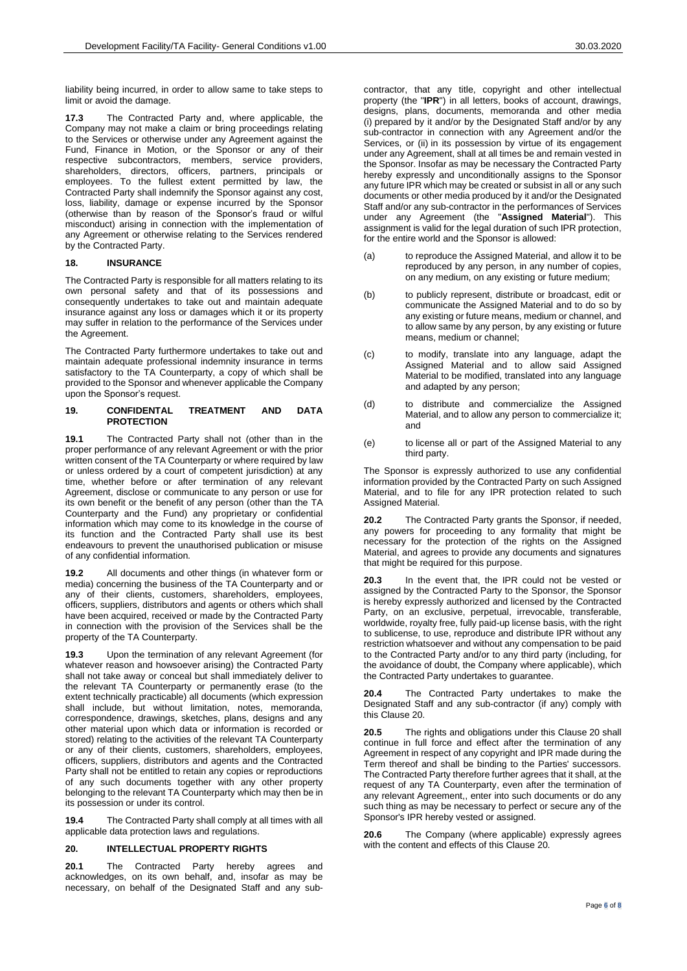liability being incurred, in order to allow same to take steps to limit or avoid the damage.

**17.3** The Contracted Party and, where applicable, the Company may not make a claim or bring proceedings relating to the Services or otherwise under any Agreement against the Fund, Finance in Motion, or the Sponsor or any of their respective subcontractors, members, service providers, shareholders, directors, officers, partners, principals or employees. To the fullest extent permitted by law, the Contracted Party shall indemnify the Sponsor against any cost, loss, liability, damage or expense incurred by the Sponsor (otherwise than by reason of the Sponsor's fraud or wilful misconduct) arising in connection with the implementation of any Agreement or otherwise relating to the Services rendered by the Contracted Party.

## **18. INSURANCE**

The Contracted Party is responsible for all matters relating to its own personal safety and that of its possessions and consequently undertakes to take out and maintain adequate insurance against any loss or damages which it or its property may suffer in relation to the performance of the Services under the Agreement.

The Contracted Party furthermore undertakes to take out and maintain adequate professional indemnity insurance in terms satisfactory to the TA Counterparty, a copy of which shall be provided to the Sponsor and whenever applicable the Company upon the Sponsor's request.

#### **19. CONFIDENTAL TREATMENT AND DATA PROTECTION**

**19.1** The Contracted Party shall not (other than in the proper performance of any relevant Agreement or with the prior written consent of the TA Counterparty or where required by law or unless ordered by a court of competent jurisdiction) at any time, whether before or after termination of any relevant Agreement, disclose or communicate to any person or use for its own benefit or the benefit of any person (other than the TA Counterparty and the Fund) any proprietary or confidential information which may come to its knowledge in the course of its function and the Contracted Party shall use its best endeavours to prevent the unauthorised publication or misuse of any confidential information.

**19.2** All documents and other things (in whatever form or media) concerning the business of the TA Counterparty and or any of their clients, customers, shareholders, employees, officers, suppliers, distributors and agents or others which shall have been acquired, received or made by the Contracted Party in connection with the provision of the Services shall be the property of the TA Counterparty.

**19.3** Upon the termination of any relevant Agreement (for whatever reason and howsoever arising) the Contracted Party shall not take away or conceal but shall immediately deliver to the relevant TA Counterparty or permanently erase (to the extent technically practicable) all documents (which expression shall include, but without limitation, notes, memoranda, correspondence, drawings, sketches, plans, designs and any other material upon which data or information is recorded or stored) relating to the activities of the relevant TA Counterparty or any of their clients, customers, shareholders, employees, officers, suppliers, distributors and agents and the Contracted Party shall not be entitled to retain any copies or reproductions of any such documents together with any other property belonging to the relevant TA Counterparty which may then be in its possession or under its control.

**19.4** The Contracted Party shall comply at all times with all applicable data protection laws and regulations.

### <span id="page-5-0"></span>**20. INTELLECTUAL PROPERTY RIGHTS**

**20.1** The Contracted Party hereby agrees and acknowledges, on its own behalf, and, insofar as may be necessary, on behalf of the Designated Staff and any sub-

contractor, that any title, copyright and other intellectual property (the "**IPR**") in all letters, books of account, drawings, designs, plans, documents, memoranda and other media (i) prepared by it and/or by the Designated Staff and/or by any sub-contractor in connection with any Agreement and/or the Services, or (ii) in its possession by virtue of its engagement under any Agreement, shall at all times be and remain vested in the Sponsor. Insofar as may be necessary the Contracted Party hereby expressly and unconditionally assigns to the Sponsor any future IPR which may be created or subsist in all or any such documents or other media produced by it and/or the Designated Staff and/or any sub-contractor in the performances of Services under any Agreement (the "**Assigned Material**"). This assignment is valid for the legal duration of such IPR protection. for the entire world and the Sponsor is allowed:

- (a) to reproduce the Assigned Material, and allow it to be reproduced by any person, in any number of copies, on any medium, on any existing or future medium;
- (b) to publicly represent, distribute or broadcast, edit or communicate the Assigned Material and to do so by any existing or future means, medium or channel, and to allow same by any person, by any existing or future means, medium or channel;
- (c) to modify, translate into any language, adapt the Assigned Material and to allow said Assigned Material to be modified, translated into any language and adapted by any person;
- (d) to distribute and commercialize the Assigned Material, and to allow any person to commercialize it: and
- (e) to license all or part of the Assigned Material to any third party.

The Sponsor is expressly authorized to use any confidential information provided by the Contracted Party on such Assigned Material, and to file for any IPR protection related to such Assigned Material.

**20.2** The Contracted Party grants the Sponsor, if needed, any powers for proceeding to any formality that might be necessary for the protection of the rights on the Assigned Material, and agrees to provide any documents and signatures that might be required for this purpose.

**20.3** In the event that, the IPR could not be vested or assigned by the Contracted Party to the Sponsor, the Sponsor is hereby expressly authorized and licensed by the Contracted Party, on an exclusive, perpetual, irrevocable, transferable, worldwide, royalty free, fully paid-up license basis, with the right to sublicense, to use, reproduce and distribute IPR without any restriction whatsoever and without any compensation to be paid to the Contracted Party and/or to any third party (including, for the avoidance of doubt, the Company where applicable), which the Contracted Party undertakes to guarantee.

**20.4** The Contracted Party undertakes to make the Designated Staff and any sub-contractor (if any) comply with this Clause [20.](#page-5-0)

**20.5** The rights and obligations under this Clause [20](#page-5-0) shall continue in full force and effect after the termination of any Agreement in respect of any copyright and IPR made during the Term thereof and shall be binding to the Parties' successors. The Contracted Party therefore further agrees that it shall, at the request of any TA Counterparty, even after the termination of any relevant Agreement,, enter into such documents or do any such thing as may be necessary to perfect or secure any of the Sponsor's IPR hereby vested or assigned.

**20.6** The Company (where applicable) expressly agrees with the content and effects of this Clause [20.](#page-5-0)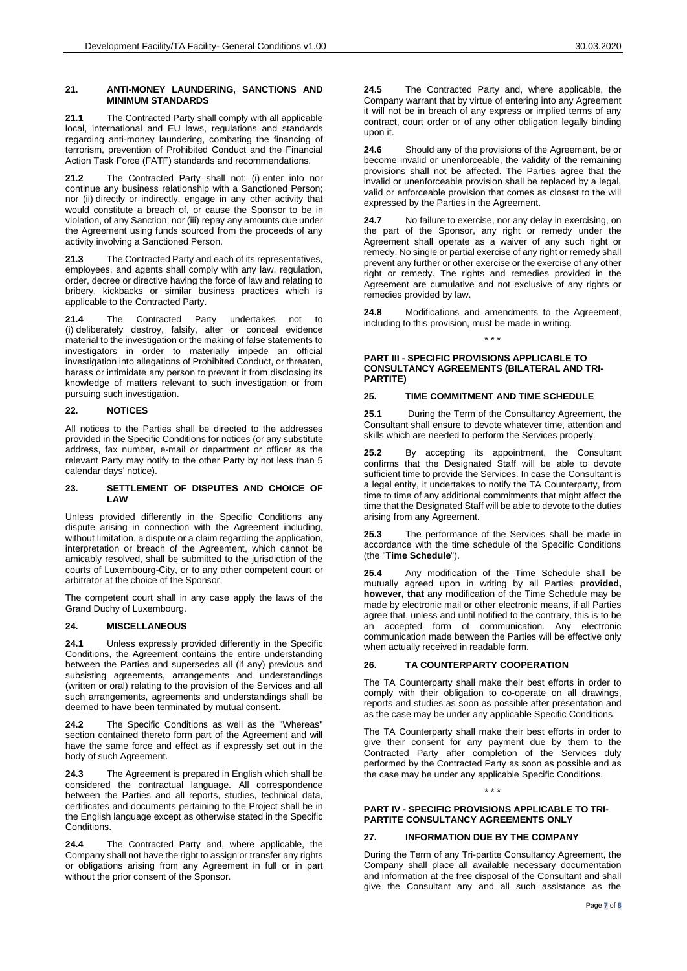**21.1** The Contracted Party shall comply with all applicable local, international and EU laws, regulations and standards regarding anti-money laundering, combating the financing of terrorism, prevention of Prohibited Conduct and the Financial Action Task Force (FATF) standards and recommendations.

**21.2** The Contracted Party shall not: (i) enter into nor continue any business relationship with a Sanctioned Person; nor (ii) directly or indirectly, engage in any other activity that would constitute a breach of, or cause the Sponsor to be in violation, of any Sanction; nor (iii) repay any amounts due under the Agreement using funds sourced from the proceeds of any activity involving a Sanctioned Person.

**21.3** The Contracted Party and each of its representatives, employees, and agents shall comply with any law, regulation, order, decree or directive having the force of law and relating to bribery, kickbacks or similar business practices which is applicable to the Contracted Party.

**21.4** The Contracted Party undertakes not to (i) deliberately destroy, falsify, alter or conceal evidence material to the investigation or the making of false statements to investigators in order to materially impede an official investigation into allegations of Prohibited Conduct, or threaten, harass or intimidate any person to prevent it from disclosing its knowledge of matters relevant to such investigation or from pursuing such investigation.

## **22. NOTICES**

All notices to the Parties shall be directed to the addresses provided in the Specific Conditions for notices (or any substitute address, fax number, e-mail or department or officer as the relevant Party may notify to the other Party by not less than 5 calendar days' notice).

#### **23. SETTLEMENT OF DISPUTES AND CHOICE OF LAW**

Unless provided differently in the Specific Conditions any dispute arising in connection with the Agreement including, without limitation, a dispute or a claim regarding the application, interpretation or breach of the Agreement, which cannot be amicably resolved, shall be submitted to the jurisdiction of the courts of Luxembourg-City, or to any other competent court or arbitrator at the choice of the Sponsor.

The competent court shall in any case apply the laws of the Grand Duchy of Luxembourg.

### <span id="page-6-0"></span>**24. MISCELLANEOUS**

**24.1** Unless expressly provided differently in the Specific Conditions, the Agreement contains the entire understanding between the Parties and supersedes all (if any) previous and subsisting agreements, arrangements and understandings (written or oral) relating to the provision of the Services and all such arrangements, agreements and understandings shall be deemed to have been terminated by mutual consent.

The Specific Conditions as well as the "Whereas" section contained thereto form part of the Agreement and will have the same force and effect as if expressly set out in the body of such Agreement.

**24.3** The Agreement is prepared in English which shall be considered the contractual language. All correspondence between the Parties and all reports, studies, technical data, certificates and documents pertaining to the Project shall be in the English language except as otherwise stated in the Specific Conditions.

**24.4** The Contracted Party and, where applicable, the Company shall not have the right to assign or transfer any rights or obligations arising from any Agreement in full or in part without the prior consent of the Sponsor.

**24.5** The Contracted Party and, where applicable, the Company warrant that by virtue of entering into any Agreement it will not be in breach of any express or implied terms of any contract, court order or of any other obligation legally binding upon it.

**24.6** Should any of the provisions of the Agreement, be or become invalid or unenforceable, the validity of the remaining provisions shall not be affected. The Parties agree that the invalid or unenforceable provision shall be replaced by a legal, valid or enforceable provision that comes as closest to the will expressed by the Parties in the Agreement.

**24.7** No failure to exercise, nor any delay in exercising, on the part of the Sponsor, any right or remedy under the Agreement shall operate as a waiver of any such right or remedy. No single or partial exercise of any right or remedy shall prevent any further or other exercise or the exercise of any other right or remedy. The rights and remedies provided in the Agreement are cumulative and not exclusive of any rights or remedies provided by law.

**24.8** Modifications and amendments to the Agreement, including to this provision, must be made in writing.

\* \* \*

#### **PART III - SPECIFIC PROVISIONS APPLICABLE TO CONSULTANCY AGREEMENTS (BILATERAL AND TRI-PARTITE)**

# **25. TIME COMMITMENT AND TIME SCHEDULE**

**25.1** During the Term of the Consultancy Agreement, the Consultant shall ensure to devote whatever time, attention and skills which are needed to perform the Services properly.

**25.2** By accepting its appointment, the Consultant confirms that the Designated Staff will be able to devote sufficient time to provide the Services. In case the Consultant is a legal entity, it undertakes to notify the TA Counterparty, from time to time of any additional commitments that might affect the time that the Designated Staff will be able to devote to the duties arising from any Agreement.

**25.3** The performance of the Services shall be made in accordance with the time schedule of the Specific Conditions (the "**Time Schedule**").

**25.4** Any modification of the Time Schedule shall be mutually agreed upon in writing by all Parties **provided, however, that** any modification of the Time Schedule may be made by electronic mail or other electronic means, if all Parties agree that, unless and until notified to the contrary, this is to be an accepted form of communication. Any electronic communication made between the Parties will be effective only when actually received in readable form.

# **26. TA COUNTERPARTY COOPERATION**

The TA Counterparty shall make their best efforts in order to comply with their obligation to co-operate on all drawings, reports and studies as soon as possible after presentation and as the case may be under any applicable Specific Conditions.

The TA Counterparty shall make their best efforts in order to give their consent for any payment due by them to the Contracted Party after completion of the Services duly performed by the Contracted Party as soon as possible and as the case may be under any applicable Specific Conditions.

### **PART IV - SPECIFIC PROVISIONS APPLICABLE TO TRI-PARTITE CONSULTANCY AGREEMENTS ONLY**

\* \* \*

# **27. INFORMATION DUE BY THE COMPANY**

During the Term of any Tri-partite Consultancy Agreement, the Company shall place all available necessary documentation and information at the free disposal of the Consultant and shall give the Consultant any and all such assistance as the